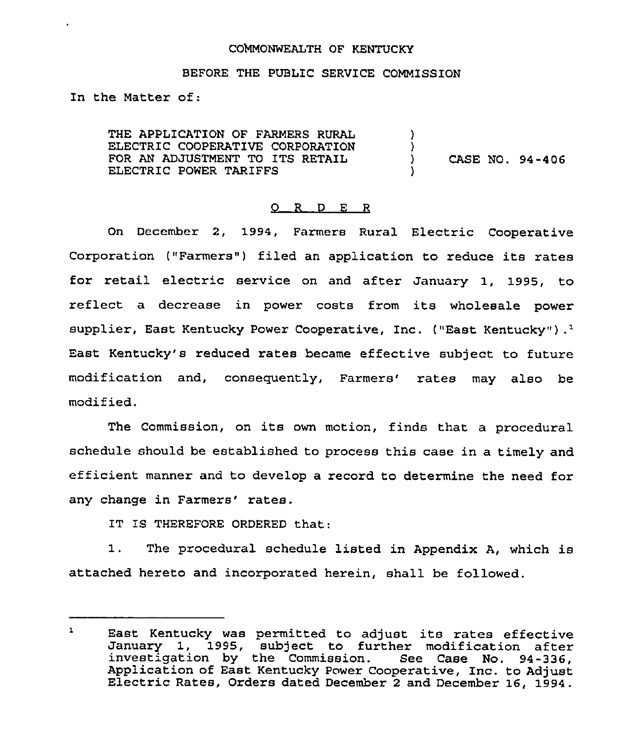### COMMONWEALTH OF KENTUCKY

#### BEFORE THE PUBLIC SERVICE COMMISSION

In the Matter of:

THE APPLICATION OF FARMERS RURAL ELECTRIC COOPERATIVE CORPORATION FOR AN ADJUSTMENT TO ITS RETAIL ELECTRIC POWER TARIFFS ) )<br>) ) CASE NO. 94-406 )

## 0 <sup>R</sup> <sup>D</sup> <sup>E</sup> <sup>R</sup>

On December 2, 1994, Farmers Rural Electric Cooperative Corporation ("Farmers") filed an application to reduce its rates for retail electric service on and after January 1, 1995, to reflect a decrease in power costs from its wholesale power supplier, East Kentucky Power Cooperative, Inc. ("East Kentucky").<sup>1</sup> East Kentucky's reduced rates became effective subject to future modification and, consequently, Farmers' rates may also be modif ied.

The Commission, on its own motion, finds that a procedural schedule should be established to process this case in a timely and efficient manner and to develop a record to determine the need for any change in Farmers' rates.

IT IS THEREFORE ORDERED that:

1. The procedural schedule listed in Appendix A, which is attached hereto and incorporated herein, shall be followed.

 $\mathbf{1}$ East Kentucky was permitted to adjust its rates effective January 1, 1995, subject to further modification after<br>investigation by the Commission. See Case No. 94-336,<br>Application of East Kentucky Power Cooperative, Inc. to Adjust Electric Rates, Orders dated December 2 and December 16, 1994.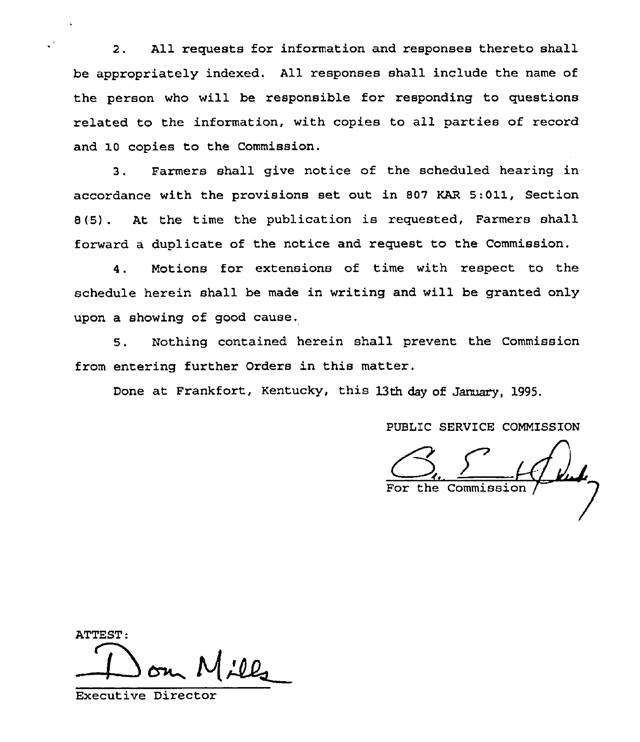2. All requests for information and responses thereto shall be appropriately indexed. All responses shall include the name of the person who will be responsible for responding to questions related to the information, with copies to all parties of record and 10 copies to the Commission.

3. Farmers shall give notice of the scheduled hearing in accordance with the provisions set out in 807 KAR 5:011, Section 8(5] . At the time the publication is requested, Farmers shall forward a duplicate of the notice and request to the Commission.

4. Motions for extensions of time with respect to the schedule herein shall be made in writing and will be granted only upon a showing of good cause.

5. Nothing contained herein shall prevent the Commission from entering further Orders in this matter.

Done at Frankfort, Kentucky, this 13th day of January, 1995.

PUBLIC SERVICE COMMISSION

the Commission

ATTEST:

Executive Director